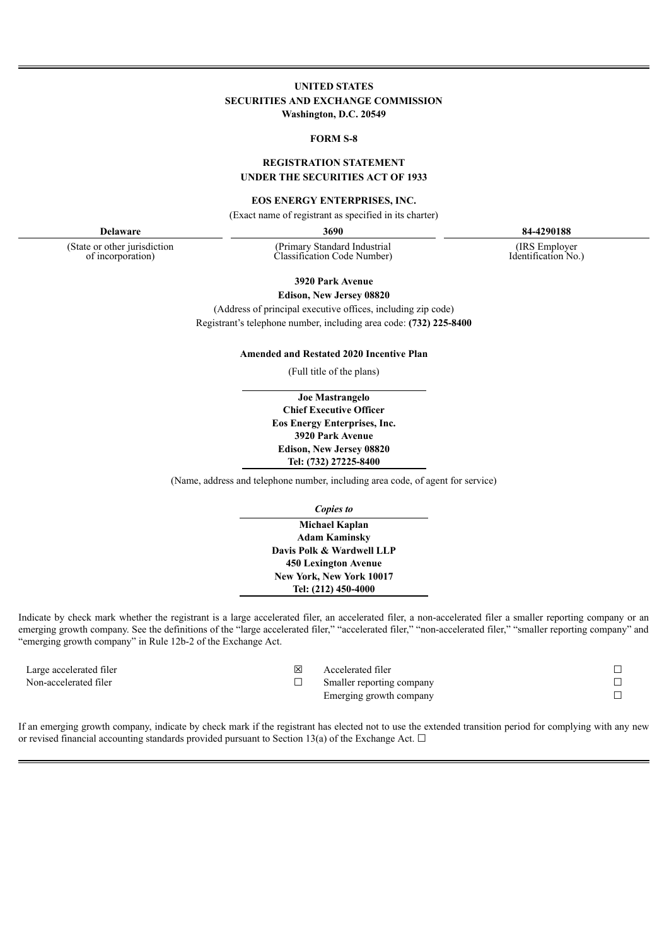# **UNITED STATES SECURITIES AND EXCHANGE COMMISSION Washington, D.C. 20549**

#### **FORM S-8**

## **REGISTRATION STATEMENT UNDER THE SECURITIES ACT OF 1933**

#### **EOS ENERGY ENTERPRISES, INC.**

(Exact name of registrant as specified in its charter)

(State or other jurisdiction of incorporation)

(Primary Standard Industrial Classification Code Number)

**Delaware 3690 84-4290188**

(IRS Employer Identification No.)

**3920 Park Avenue Edison, New Jersey 08820**

(Address of principal executive offices, including zip code) Registrant's telephone number, including area code: **(732) 225-8400**

**Amended and Restated 2020 Incentive Plan**

(Full title of the plans)

**Joe Mastrangelo Chief Executive Officer Eos Energy Enterprises, Inc. 3920 Park Avenue Edison, New Jersey 08820 Tel: (732) 27225-8400**

(Name, address and telephone number, including area code, of agent for service)

*Copies to*

**Michael Kaplan Adam Kaminsky Davis Polk & Wardwell LLP 450 Lexington Avenue New York, New York 10017 Tel: (212) 450-4000**

Indicate by check mark whether the registrant is a large accelerated filer, an accelerated filer, a non-accelerated filer a smaller reporting company or an emerging growth company. See the definitions of the "large accelerated filer," "accelerated filer," "non-accelerated filer," "smaller reporting company" and "emerging growth company" in Rule 12b-2 of the Exchange Act.

Large accelerated filer **□** △ △ △ △ △ △ Accelerated filer

- 
- Non-accelerated filer □ Smaller reporting company
	- Emerging growth company

| ۰ |
|---|
|   |
| ۳ |
|   |

If an emerging growth company, indicate by check mark if the registrant has elected not to use the extended transition period for complying with any new or revised financial accounting standards provided pursuant to Section 13(a) of the Exchange Act.  $\Box$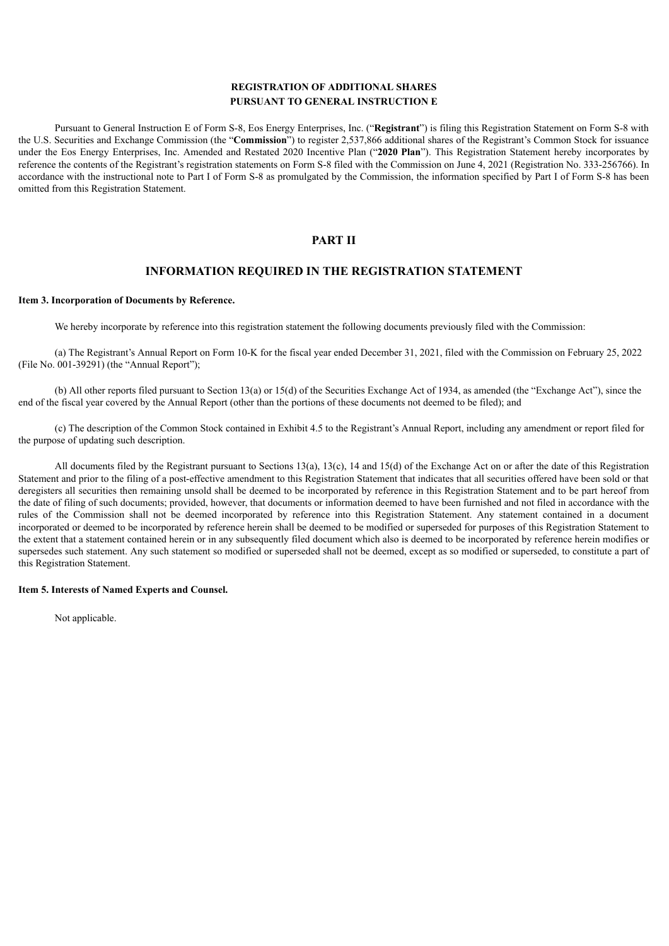# **REGISTRATION OF ADDITIONAL SHARES PURSUANT TO GENERAL INSTRUCTION E**

Pursuant to General Instruction E of Form S-8, Eos Energy Enterprises, Inc. ("**Registrant**") is filing this Registration Statement on Form S-8 with the U.S. Securities and Exchange Commission (the "**Commission**") to register 2,537,866 additional shares of the Registrant's Common Stock for issuance under the Eos Energy Enterprises, Inc. Amended and Restated 2020 Incentive Plan ("**2020 Plan**"). This Registration Statement hereby incorporates by reference the contents of the Registrant's registration statements on Form S-8 filed with the Commission on June 4, 2021 (Registration No. 333-256766). In accordance with the instructional note to Part I of Form S-8 as promulgated by the Commission, the information specified by Part I of Form S-8 has been omitted from this Registration Statement.

# **PART II**

# **INFORMATION REQUIRED IN THE REGISTRATION STATEMENT**

#### **Item 3. Incorporation of Documents by Reference.**

We hereby incorporate by reference into this registration statement the following documents previously filed with the Commission:

(a) The Registrant's Annual Report on Form 10-K for the fiscal year ended December 31, 2021, filed with the Commission on February 25, 2022 (File No. 001-39291) (the "Annual Report");

(b) All other reports filed pursuant to Section 13(a) or 15(d) of the Securities Exchange Act of 1934, as amended (the "Exchange Act"), since the end of the fiscal year covered by the Annual Report (other than the portions of these documents not deemed to be filed); and

(c) The description of the Common Stock contained in Exhibit 4.5 to the Registrant's Annual Report, including any amendment or report filed for the purpose of updating such description.

All documents filed by the Registrant pursuant to Sections 13(a), 13(c), 14 and 15(d) of the Exchange Act on or after the date of this Registration Statement and prior to the filing of a post-effective amendment to this Registration Statement that indicates that all securities offered have been sold or that deregisters all securities then remaining unsold shall be deemed to be incorporated by reference in this Registration Statement and to be part hereof from the date of filing of such documents; provided, however, that documents or information deemed to have been furnished and not filed in accordance with the rules of the Commission shall not be deemed incorporated by reference into this Registration Statement. Any statement contained in a document incorporated or deemed to be incorporated by reference herein shall be deemed to be modified or superseded for purposes of this Registration Statement to the extent that a statement contained herein or in any subsequently filed document which also is deemed to be incorporated by reference herein modifies or supersedes such statement. Any such statement so modified or superseded shall not be deemed, except as so modified or superseded, to constitute a part of this Registration Statement.

#### **Item 5. Interests of Named Experts and Counsel.**

Not applicable.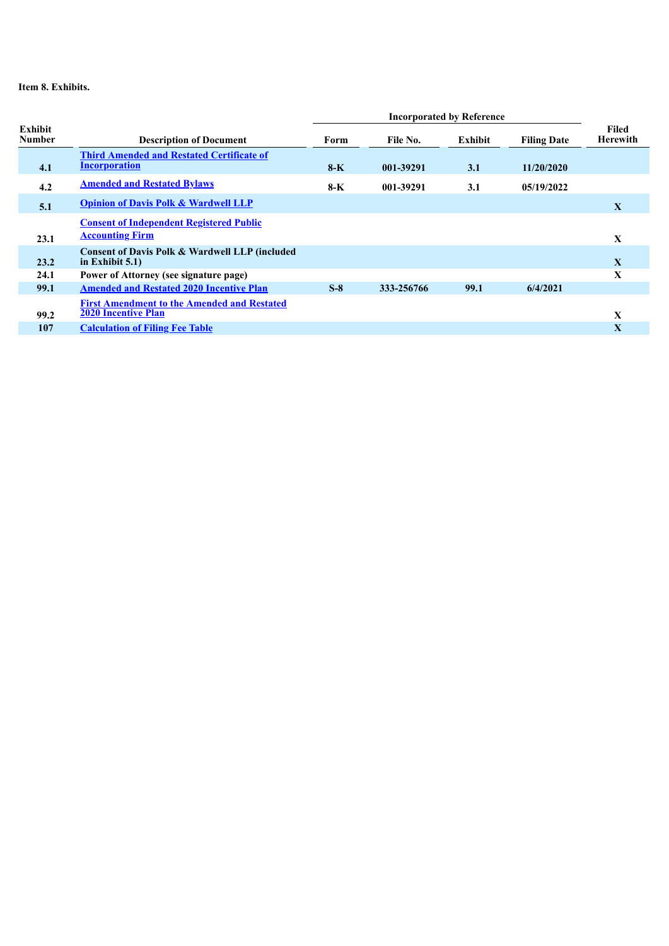# **Item 8. Exhibits.**

|                   |                                                                           | <b>Incorporated by Reference</b> |            |         |                    |                          |
|-------------------|---------------------------------------------------------------------------|----------------------------------|------------|---------|--------------------|--------------------------|
| Exhibit<br>Number | <b>Description of Document</b>                                            | Form                             | File No.   | Exhibit | <b>Filing Date</b> | Filed<br><b>Herewith</b> |
| 4.1               | <b>Third Amended and Restated Certificate of</b><br><b>Incorporation</b>  | $8-K$                            | 001-39291  | 3.1     | 11/20/2020         |                          |
| 4.2               | <b>Amended and Restated Bylaws</b>                                        | 8-K                              | 001-39291  | 3.1     | 05/19/2022         |                          |
| 5.1               | <b>Opinion of Davis Polk &amp; Wardwell LLP</b>                           |                                  |            |         |                    | X                        |
| 23.1              | <b>Consent of Independent Registered Public</b><br><b>Accounting Firm</b> |                                  |            |         |                    | X                        |
| 23.2              | Consent of Davis Polk & Wardwell LLP (included<br>in Exhibit $5.1$ )      |                                  |            |         |                    | $\mathbf{X}$             |
| 24.1              | Power of Attorney (see signature page)                                    |                                  |            |         |                    | X                        |
| 99.1              | <b>Amended and Restated 2020 Incentive Plan</b>                           | $S-8$                            | 333-256766 | 99.1    | 6/4/2021           |                          |
|                   | <b>First Amendment to the Amended and Restated</b>                        |                                  |            |         |                    |                          |
| 99.2              | <b>2020 Incentive Plan</b>                                                |                                  |            |         |                    | $\mathbf{X}$             |
| 107               | <b>Calculation of Filing Fee Table</b>                                    |                                  |            |         |                    | $\mathbf{X}$             |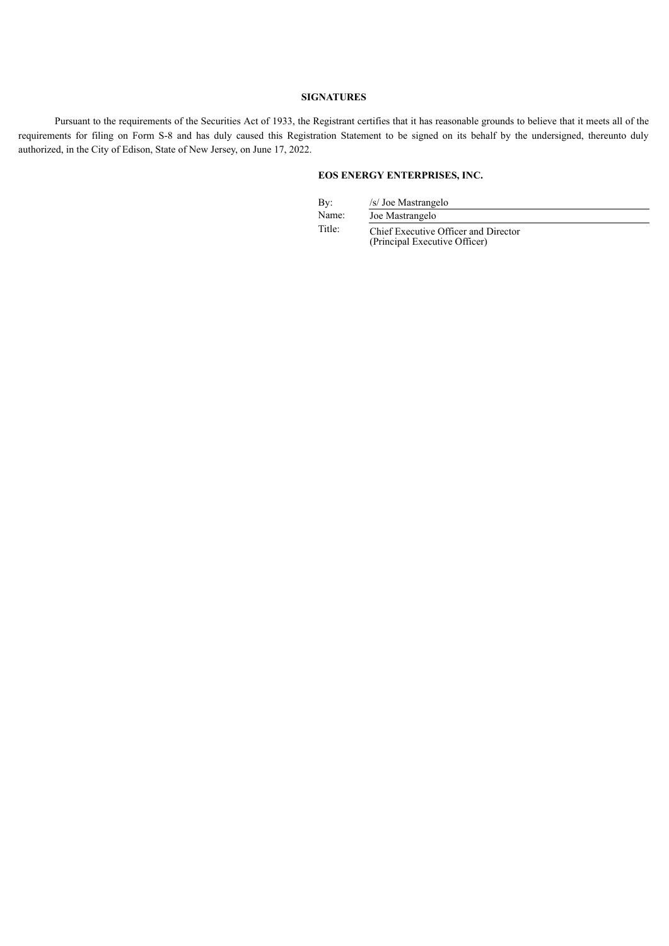#### **SIGNATURES**

Pursuant to the requirements of the Securities Act of 1933, the Registrant certifies that it has reasonable grounds to believe that it meets all of the requirements for filing on Form S-8 and has duly caused this Registration Statement to be signed on its behalf by the undersigned, thereunto duly authorized, in the City of Edison, State of New Jersey, on June 17, 2022.

# **EOS ENERGY ENTERPRISES, INC.**

By: /s/ Joe Mastrangelo<br>Name: Joe Mastrangelo

Joe Mastrangelo

Title: Chief Executive Officer and Director (Principal Executive Officer)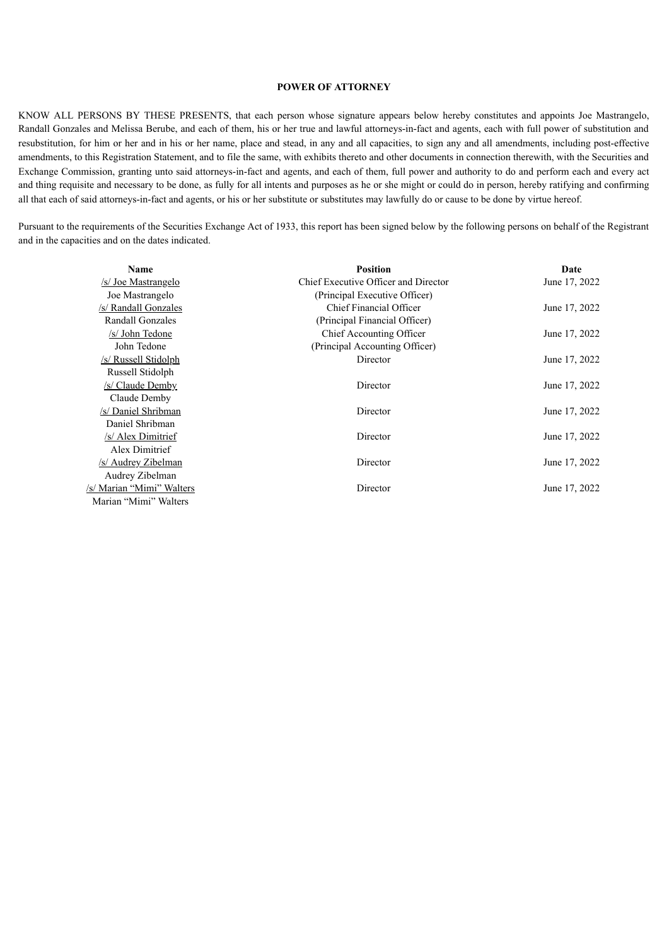#### **POWER OF ATTORNEY**

KNOW ALL PERSONS BY THESE PRESENTS, that each person whose signature appears below hereby constitutes and appoints Joe Mastrangelo, Randall Gonzales and Melissa Berube, and each of them, his or her true and lawful attorneys-in-fact and agents, each with full power of substitution and resubstitution, for him or her and in his or her name, place and stead, in any and all capacities, to sign any and all amendments, including post-effective amendments, to this Registration Statement, and to file the same, with exhibits thereto and other documents in connection therewith, with the Securities and Exchange Commission, granting unto said attorneys-in-fact and agents, and each of them, full power and authority to do and perform each and every act and thing requisite and necessary to be done, as fully for all intents and purposes as he or she might or could do in person, hereby ratifying and confirming all that each of said attorneys-in-fact and agents, or his or her substitute or substitutes may lawfully do or cause to be done by virtue hereof.

Pursuant to the requirements of the Securities Exchange Act of 1933, this report has been signed below by the following persons on behalf of the Registrant and in the capacities and on the dates indicated.

| Name                       | <b>Position</b>                      | Date          |
|----------------------------|--------------------------------------|---------------|
| <u>/s/ Joe Mastrangelo</u> | Chief Executive Officer and Director | June 17, 2022 |
| Joe Mastrangelo            | (Principal Executive Officer)        |               |
| /s/ Randall Gonzales       | Chief Financial Officer              | June 17, 2022 |
| Randall Gonzales           | (Principal Financial Officer)        |               |
| /s/ John Tedone            | Chief Accounting Officer             | June 17, 2022 |
| John Tedone                | (Principal Accounting Officer)       |               |
| /s/ Russell Stidolph       | Director                             | June 17, 2022 |
| Russell Stidolph           |                                      |               |
| /s/ Claude Demby           | Director                             | June 17, 2022 |
| Claude Demby               |                                      |               |
| /s/ Daniel Shribman        | Director                             | June 17, 2022 |
| Daniel Shribman            |                                      |               |
| /s/ Alex Dimitrief         | Director                             | June 17, 2022 |
| Alex Dimitrief             |                                      |               |
| /s/ Audrey Zibelman        | Director                             | June 17, 2022 |
| Audrey Zibelman            |                                      |               |
| /s/ Marian "Mimi" Walters  | Director                             | June 17, 2022 |
| Marian "Mimi" Walters      |                                      |               |
|                            |                                      |               |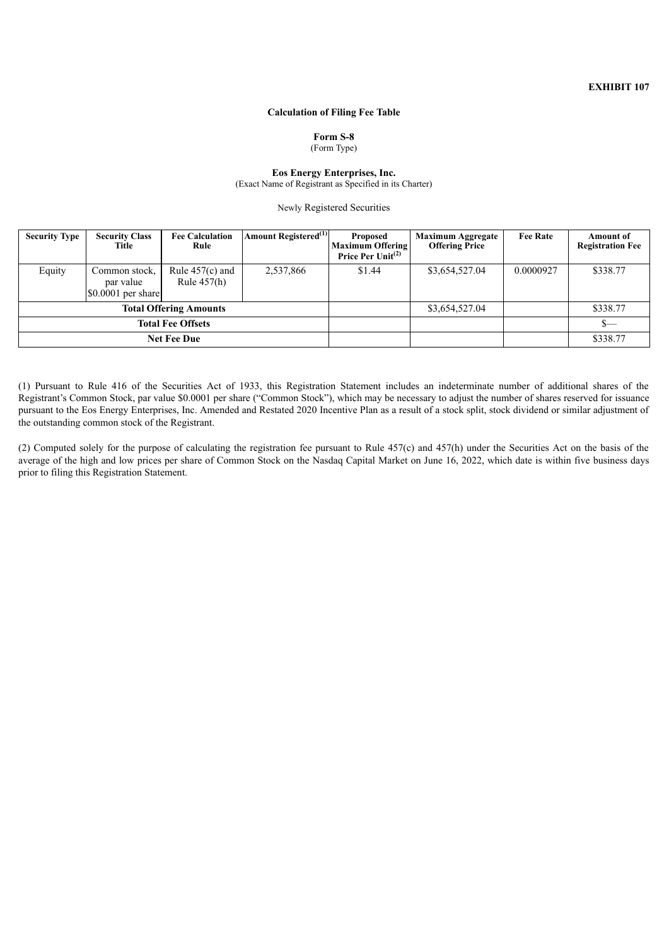# **Calculation of Filing Fee Table**

# **Form S-8**

(Form Type)

#### **Eos Energy Enterprises, Inc.** (Exact Name of Registrant as Specified in its Charter)

Newly Registered Securities

<span id="page-5-0"></span>

| <b>Security Type</b>          | <b>Security Class</b><br>Title                    | <b>Fee Calculation</b><br>Rule     | Amount Registered <sup>(1)</sup> | <b>Proposed</b><br><b>Maximum Offering</b><br>Price Per $Unit(2)$ | <b>Maximum Aggregate</b><br><b>Offering Price</b> | <b>Fee Rate</b> | <b>Amount of</b><br><b>Registration Fee</b> |
|-------------------------------|---------------------------------------------------|------------------------------------|----------------------------------|-------------------------------------------------------------------|---------------------------------------------------|-----------------|---------------------------------------------|
| Equity                        | Common stock,<br>par value<br>$$0.0001$ per share | Rule $457(c)$ and<br>Rule $457(h)$ | 2,537,866                        | \$1.44                                                            | \$3,654,527.04                                    | 0.0000927       | \$338.77                                    |
| <b>Total Offering Amounts</b> |                                                   |                                    |                                  | \$3,654,527.04                                                    |                                                   | \$338.77        |                                             |
| <b>Total Fee Offsets</b>      |                                                   |                                    |                                  |                                                                   |                                                   | $s-$            |                                             |
| <b>Net Fee Due</b>            |                                                   |                                    |                                  |                                                                   |                                                   |                 | \$338.77                                    |

(1) Pursuant to Rule 416 of the Securities Act of 1933, this Registration Statement includes an indeterminate number of additional shares of the Registrant's Common Stock, par value \$0.0001 per share ("Common Stock"), which may be necessary to adjust the number of shares reserved for issuance pursuant to the Eos Energy Enterprises, Inc. Amended and Restated 2020 Incentive Plan as a result of a stock split, stock dividend or similar adjustment of the outstanding common stock of the Registrant.

(2) Computed solely for the purpose of calculating the registration fee pursuant to Rule 457(c) and 457(h) under the Securities Act on the basis of the average of the high and low prices per share of Common Stock on the Nasdaq Capital Market on June 16, 2022, which date is within five business days prior to filing this Registration Statement.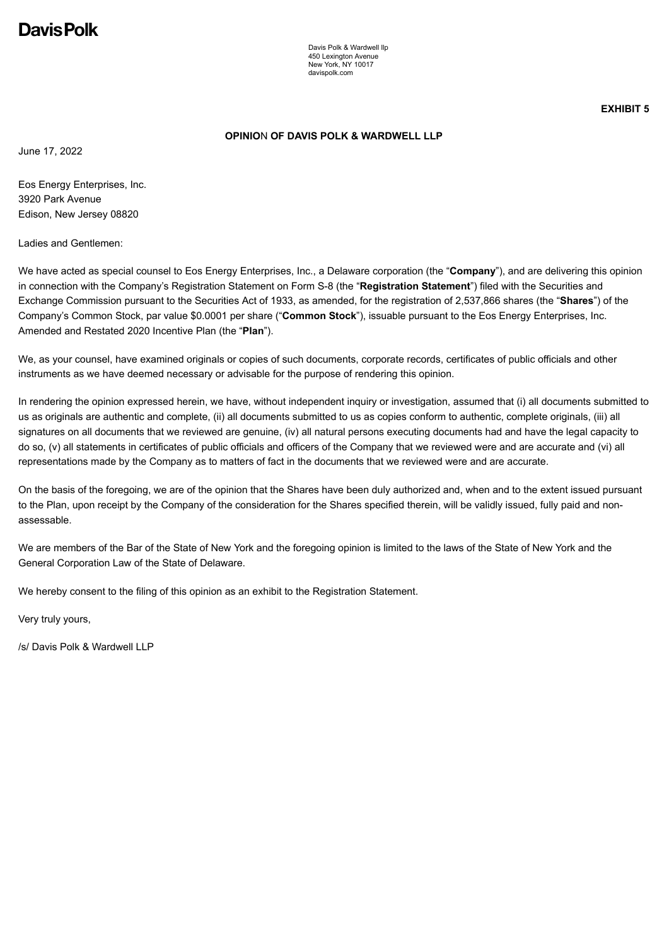# <span id="page-6-0"></span>Davis Polk

Davis Polk & Wardwell llp 450 Lexington Avenue New York, NY 10017 davispolk.com

**EXHIBIT 5**

# **OPINIO**N **OF DAVIS POLK & WARDWELL LLP**

June 17, 2022

Eos Energy Enterprises, Inc. 3920 Park Avenue Edison, New Jersey 08820

Ladies and Gentlemen:

We have acted as special counsel to Eos Energy Enterprises, Inc., a Delaware corporation (the "**Company**"), and are delivering this opinion in connection with the Company's Registration Statement on Form S-8 (the "**Registration Statement**") filed with the Securities and Exchange Commission pursuant to the Securities Act of 1933, as amended, for the registration of 2,537,866 shares (the "**Shares**") of the Company's Common Stock, par value \$0.0001 per share ("**Common Stock**"), issuable pursuant to the Eos Energy Enterprises, Inc. Amended and Restated 2020 Incentive Plan (the "**Plan**").

We, as your counsel, have examined originals or copies of such documents, corporate records, certificates of public officials and other instruments as we have deemed necessary or advisable for the purpose of rendering this opinion.

In rendering the opinion expressed herein, we have, without independent inquiry or investigation, assumed that (i) all documents submitted to us as originals are authentic and complete, (ii) all documents submitted to us as copies conform to authentic, complete originals, (iii) all signatures on all documents that we reviewed are genuine, (iv) all natural persons executing documents had and have the legal capacity to do so, (v) all statements in certificates of public officials and officers of the Company that we reviewed were and are accurate and (vi) all representations made by the Company as to matters of fact in the documents that we reviewed were and are accurate.

On the basis of the foregoing, we are of the opinion that the Shares have been duly authorized and, when and to the extent issued pursuant to the Plan, upon receipt by the Company of the consideration for the Shares specified therein, will be validly issued, fully paid and nonassessable.

We are members of the Bar of the State of New York and the foregoing opinion is limited to the laws of the State of New York and the General Corporation Law of the State of Delaware.

We hereby consent to the filing of this opinion as an exhibit to the Registration Statement.

Very truly yours,

/s/ Davis Polk & Wardwell LLP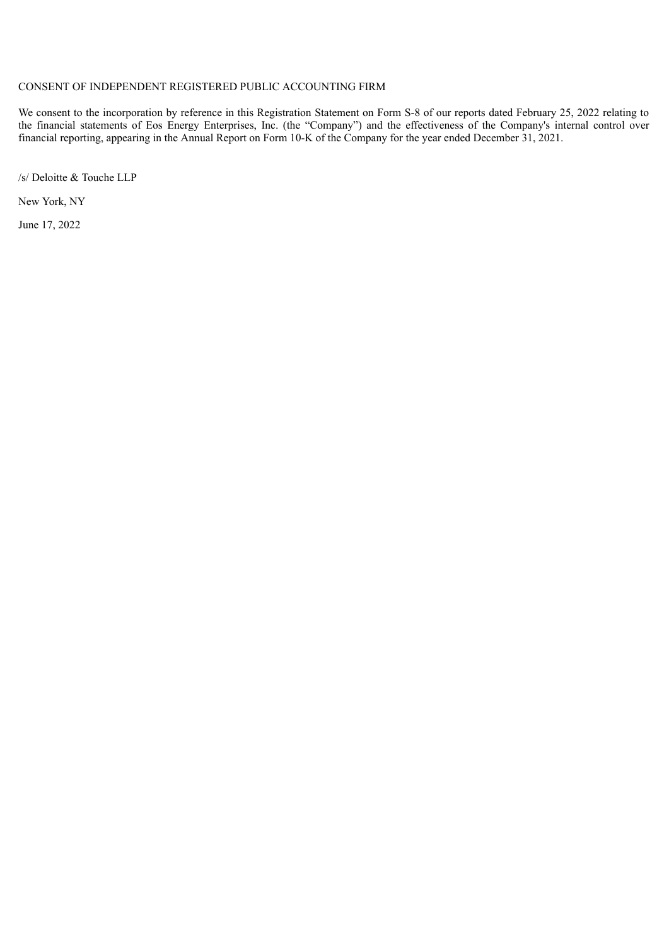# <span id="page-7-0"></span>CONSENT OF INDEPENDENT REGISTERED PUBLIC ACCOUNTING FIRM

We consent to the incorporation by reference in this Registration Statement on Form S-8 of our reports dated February 25, 2022 relating to the financial statements of Eos Energy Enterprises, Inc. (the "Company") and the effectiveness of the Company's internal control over financial reporting, appearing in the Annual Report on Form 10-K of the Company for the year ended December 31, 2021.

/s/ Deloitte & Touche LLP

New York, NY

June 17, 2022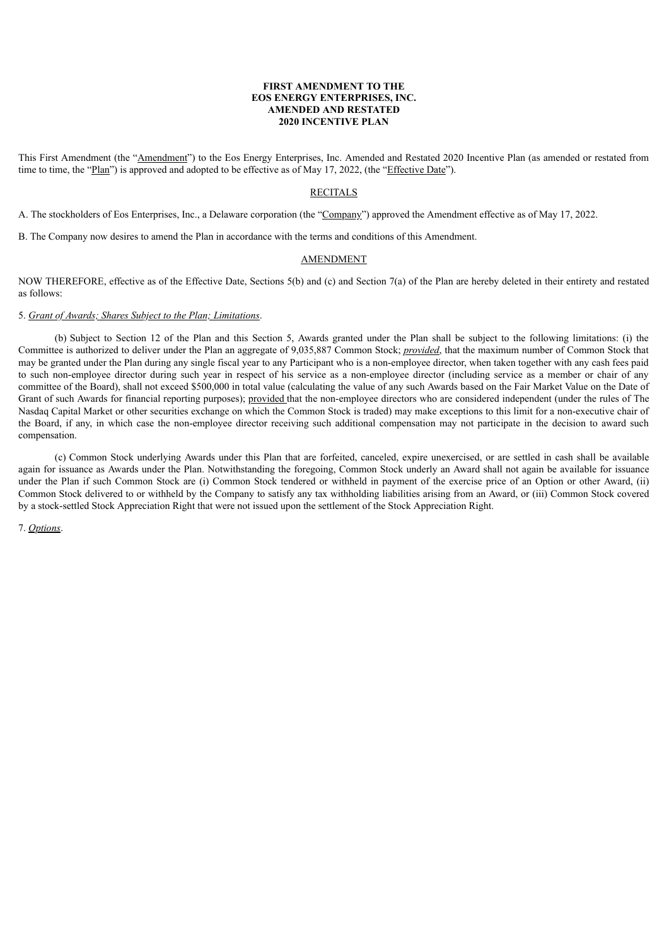#### **FIRST AMENDMENT TO THE EOS ENERGY ENTERPRISES, INC. AMENDED AND RESTATED 2020 INCENTIVE PLAN**

<span id="page-8-0"></span>This First Amendment (the "Amendment") to the Eos Energy Enterprises, Inc. Amended and Restated 2020 Incentive Plan (as amended or restated from time to time, the "Plan") is approved and adopted to be effective as of May 17, 2022, (the "Effective Date").

#### RECITALS

A. The stockholders of Eos Enterprises, Inc., a Delaware corporation (the "Company") approved the Amendment effective as of May 17, 2022.

B. The Company now desires to amend the Plan in accordance with the terms and conditions of this Amendment.

#### AMENDMENT

NOW THEREFORE, effective as of the Effective Date, Sections 5(b) and (c) and Section 7(a) of the Plan are hereby deleted in their entirety and restated as follows:

#### 5. *Grant of Awards; Shares Subject to the Plan; Limitations*.

(b) Subject to Section 12 of the Plan and this Section 5, Awards granted under the Plan shall be subject to the following limitations: (i) the Committee is authorized to deliver under the Plan an aggregate of 9,035,887 Common Stock; *provided*, that the maximum number of Common Stock that may be granted under the Plan during any single fiscal year to any Participant who is a non-employee director, when taken together with any cash fees paid to such non-employee director during such year in respect of his service as a non-employee director (including service as a member or chair of any committee of the Board), shall not exceed \$500,000 in total value (calculating the value of any such Awards based on the Fair Market Value on the Date of Grant of such Awards for financial reporting purposes); provided that the non-employee directors who are considered independent (under the rules of The Nasdaq Capital Market or other securities exchange on which the Common Stock is traded) may make exceptions to this limit for a non-executive chair of the Board, if any, in which case the non-employee director receiving such additional compensation may not participate in the decision to award such compensation.

(c) Common Stock underlying Awards under this Plan that are forfeited, canceled, expire unexercised, or are settled in cash shall be available again for issuance as Awards under the Plan. Notwithstanding the foregoing, Common Stock underly an Award shall not again be available for issuance under the Plan if such Common Stock are (i) Common Stock tendered or withheld in payment of the exercise price of an Option or other Award, (ii) Common Stock delivered to or withheld by the Company to satisfy any tax withholding liabilities arising from an Award, or (iii) Common Stock covered by a stock-settled Stock Appreciation Right that were not issued upon the settlement of the Stock Appreciation Right.

7. *Options*.